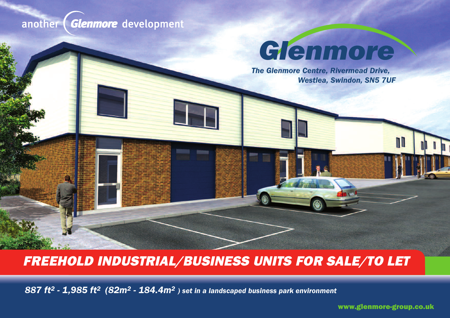## another *(Glenmore* development

## Glenmore

**The Glenmore Centre, Rivermead Drive, William Contracts** *Westlea, Swindon, SN5 7UF*

## **FREEHOLD INDUSTRIAL/BUSINESS UNITS FOR SALE/TO LET**

*887 ft2 - 1,985 ft2 (82m2 - 184.4m2 ) set in a landscaped business park environment*

**www.glenmore-group.co.uk**